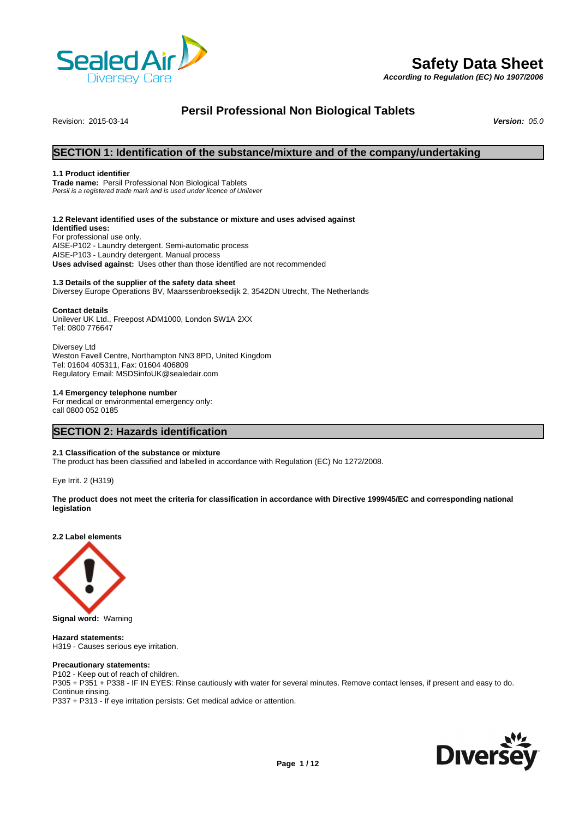

## **Safety Data Sheet**

*According to Regulation (EC) No 1907/2006*

# **Persil Professional Non Biological Tablets**

Revision: 2015-03-14 *Version: 05.0*

## **SECTION 1: Identification of the substance/mixture and of the company/undertaking**

#### **1.1 Product identifier**

**Trade name:** Persil Professional Non Biological Tablets *Persil is a registered trade mark and is used under licence of Unilever*

#### **1.2 Relevant identified uses of the substance or mixture and uses advised against**

**Identified uses:** For professional use only. AISE-P102 - Laundry detergent. Semi-automatic process AISE-P103 - Laundry detergent. Manual process **Uses advised against:** Uses other than those identified are not recommended

#### **1.3 Details of the supplier of the safety data sheet**

Diversey Europe Operations BV, Maarssenbroeksedijk 2, 3542DN Utrecht, The Netherlands

#### **Contact details**

Unilever UK Ltd., Freepost ADM1000, London SW1A 2XX Tel: 0800 776647

Diversey Ltd Weston Favell Centre, Northampton NN3 8PD, United Kingdom Tel: 01604 405311, Fax: 01604 406809 Regulatory Email: MSDSinfoUK@sealedair.com

#### **1.4 Emergency telephone number**

For medical or environmental emergency only: call 0800 052 0185

## **SECTION 2: Hazards identification**

#### **2.1 Classification of the substance or mixture**

The product has been classified and labelled in accordance with Regulation (EC) No 1272/2008.

Eye Irrit. 2 (H319)

**The product does not meet the criteria for classification in accordance with Directive 1999/45/EC and corresponding national legislation**

**2.2 Label elements**



**Signal word:** Warning

**Hazard statements:**  H319 - Causes serious eye irritation.

#### **Precautionary statements:**

P102 - Keep out of reach of children.

P305 + P351 + P338 - IF IN EYES: Rinse cautiously with water for several minutes. Remove contact lenses, if present and easy to do. Continue rinsing.

P337 + P313 - If eye irritation persists: Get medical advice or attention.

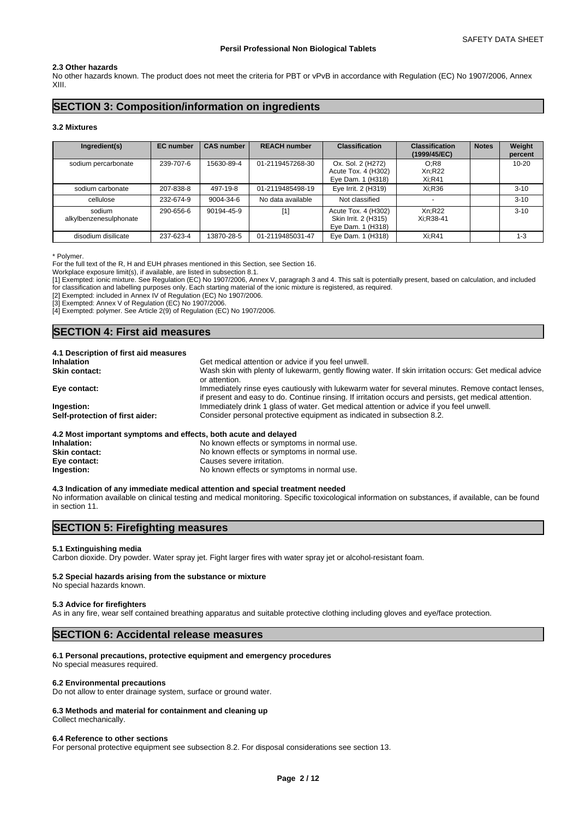#### **2.3 Other hazards**

No other hazards known. The product does not meet the criteria for PBT or vPvB in accordance with Regulation (EC) No 1907/2006, Annex XIII.

## **SECTION 3: Composition/information on ingredients**

#### **3.2 Mixtures**

| Ingredient(s)                    | <b>EC</b> number | <b>CAS number</b> | <b>REACH number</b> | <b>Classification</b>                                            | <b>Classification</b><br>(1999/45/EC) | <b>Notes</b> | Weight<br>percent |
|----------------------------------|------------------|-------------------|---------------------|------------------------------------------------------------------|---------------------------------------|--------------|-------------------|
| sodium percarbonate              | 239-707-6        | 15630-89-4        | 01-2119457268-30    | Ox. Sol. 2 (H272)<br>Acute Tox. 4 (H302)<br>Eye Dam. 1 (H318)    | O;R8<br>Xn:R22<br>$Xi:$ R41           |              | $10 - 20$         |
| sodium carbonate                 | 207-838-8        | 497-19-8          | 01-2119485498-19    | Eye Irrit. 2 (H319)                                              | Xi:R36                                |              | $3 - 10$          |
| cellulose                        | 232-674-9        | 9004-34-6         | No data available   | Not classified                                                   | $\overline{\phantom{0}}$              |              | $3 - 10$          |
| sodium<br>alkylbenzenesulphonate | 290-656-6        | 90194-45-9        | [1]                 | Acute Tox. 4 (H302)<br>Skin Irrit. 2 (H315)<br>Eye Dam. 1 (H318) | Xn:R22<br>Xi:R38-41                   |              | $3 - 10$          |
| disodium disilicate              | 237-623-4        | 13870-28-5        | 01-2119485031-47    | Eye Dam. 1 (H318)                                                | $Xi:$ R41                             |              | $1 - 3$           |

\* Polymer.

For the full text of the R, H and EUH phrases mentioned in this Section, see Section 16.

Workplace exposure limit(s), if available, are listed in subsection 8.1.

[1] Exempted: ionic mixture. See Regulation (EC) No 1907/2006, Annex V, paragraph 3 and 4. This salt is potentially present, based on calculation, and included for classification and labelling purposes only. Each starting material of the ionic mixture is registered, as required.

[2] Exempted: included in Annex IV of Regulation (EC) No 1907/2006.

[3] Exempted: Annex V of Regulation (EC) No 1907/2006.

[4] Exempted: polymer. See Article 2(9) of Regulation (EC) No 1907/2006.

#### **SECTION 4: First aid measures**

| 4.1 Description of first aid measures                           |                                                                                                                                                                                                             |
|-----------------------------------------------------------------|-------------------------------------------------------------------------------------------------------------------------------------------------------------------------------------------------------------|
| <b>Inhalation</b>                                               | Get medical attention or advice if you feel unwell.                                                                                                                                                         |
| <b>Skin contact:</b>                                            | Wash skin with plenty of lukewarm, gently flowing water. If skin irritation occurs: Get medical advice<br>or attention.                                                                                     |
| Eye contact:                                                    | Immediately rinse eyes cautiously with lukewarm water for several minutes. Remove contact lenses,<br>if present and easy to do. Continue rinsing. If irritation occurs and persists, get medical attention. |
| Ingestion:                                                      | Immediately drink 1 glass of water. Get medical attention or advice if you feel unwell.                                                                                                                     |
| Self-protection of first aider:                                 | Consider personal protective equipment as indicated in subsection 8.2.                                                                                                                                      |
| 4.2 Most important symptoms and effects, both acute and delayed |                                                                                                                                                                                                             |

| Inhalation:          | No known effects or symptoms in normal use. |
|----------------------|---------------------------------------------|
| <b>Skin contact:</b> | No known effects or symptoms in normal use. |
| Eye contact:         | Causes severe irritation.                   |
| Ingestion:           | No known effects or symptoms in normal use. |
|                      |                                             |

#### **4.3 Indication of any immediate medical attention and special treatment needed**

No information available on clinical testing and medical monitoring. Specific toxicological information on substances, if available, can be found in section 11.

## **SECTION 5: Firefighting measures**

#### **5.1 Extinguishing media**

Carbon dioxide. Dry powder. Water spray jet. Fight larger fires with water spray jet or alcohol-resistant foam.

## **5.2 Special hazards arising from the substance or mixture**

No special hazards known.

#### **5.3 Advice for firefighters**

As in any fire, wear self contained breathing apparatus and suitable protective clothing including gloves and eye/face protection.

## **SECTION 6: Accidental release measures**

#### **6.1 Personal precautions, protective equipment and emergency procedures**

No special measures required.

#### **6.2 Environmental precautions**

Do not allow to enter drainage system, surface or ground water.

#### **6.3 Methods and material for containment and cleaning up**

Collect mechanically.

#### **6.4 Reference to other sections**

For personal protective equipment see subsection 8.2. For disposal considerations see section 13.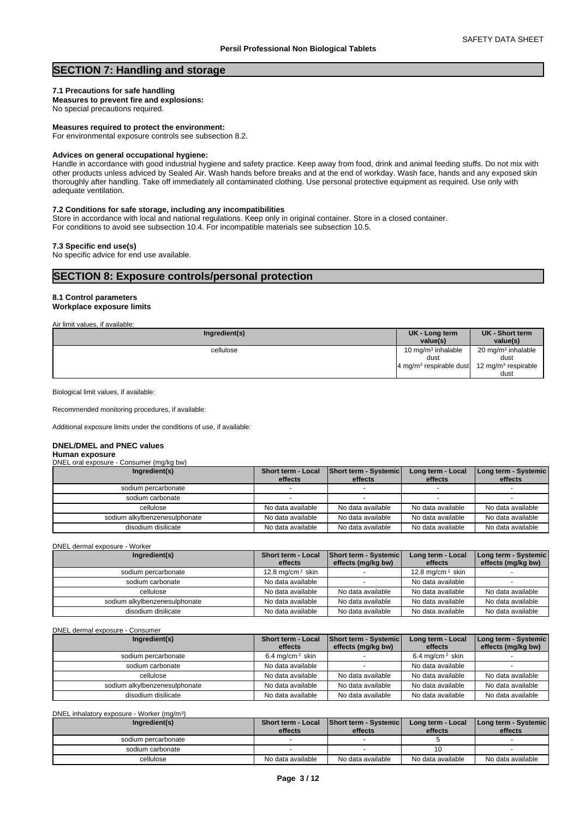## **SECTION 7: Handling and storage**

#### **7.1 Precautions for safe handling**

**Measures to prevent fire and explosions:** No special precautions required.

## **Measures required to protect the environment:**

For environmental exposure controls see subsection 8.2.

#### **Advices on general occupational hygiene:**

Handle in accordance with good industrial hygiene and safety practice. Keep away from food, drink and animal feeding stuffs. Do not mix with other products unless adviced by Sealed Air. Wash hands before breaks and at the end of workday. Wash face, hands and any exposed skin thoroughly after handling. Take off immediately all contaminated clothing. Use personal protective equipment as required. Use only with adequate ventilation.

#### **7.2 Conditions for safe storage, including any incompatibilities**

Store in accordance with local and national regulations. Keep only in original container. Store in a closed container. For conditions to avoid see subsection 10.4. For incompatible materials see subsection 10.5.

**7.3 Specific end use(s)**

No specific advice for end use available.

## **SECTION 8: Exposure controls/personal protection**

## **8.1 Control parameters**

### **Workplace exposure limits**

Air limit values, if available:

| Ingredient(s) | UK - Long term<br>value(s)                                                     | UK - Short term<br>value(s)                                                       |  |
|---------------|--------------------------------------------------------------------------------|-----------------------------------------------------------------------------------|--|
| cellulose     | 10 mg/m $3$ inhalable<br>dust<br>$4 \text{ mg/m}$ <sup>3</sup> respirable dust | 20 mg/m <sup>3</sup> inhalable<br>dust<br>12 mg/m <sup>3</sup> respirable<br>dust |  |

Biological limit values, if available:

Recommended monitoring procedures, if available:

Additional exposure limits under the conditions of use, if available:

## **DNEL/DMEL and PNEC values**

### **Human exposure**

DNEL oral exposure - Consumer (mg/kg bw)

| Ingredient(s)                 | Short term - Local<br>effects | <b>Short term - Systemic</b><br>effects | Long term - Local<br>effects | <b>I Long term - Systemic  </b><br>effects |
|-------------------------------|-------------------------------|-----------------------------------------|------------------------------|--------------------------------------------|
| sodium percarbonate           |                               |                                         |                              |                                            |
| sodium carbonate              |                               |                                         |                              |                                            |
| cellulose                     | No data available             | No data available                       | No data available            | No data available                          |
| sodium alkylbenzenesulphonate | No data available             | No data available                       | No data available            | No data available                          |
| disodium disilicate           | No data available             | No data available                       | No data available            | No data available                          |

DNEL dermal exposure - Worker

| Ingredient(s)                 | <b>Short term - Local</b> | Short term - Systemic | Long term - Local    | <b>I Long term - Systemic  </b> |
|-------------------------------|---------------------------|-----------------------|----------------------|---------------------------------|
|                               | effects                   | effects (mg/kg bw)    | effects              | effects (mg/kg bw)              |
| sodium percarbonate           | 12.8 mg/cm $2$ skin       |                       | 12.8 mg/cm $^2$ skin |                                 |
| sodium carbonate              | No data available         |                       | No data available    |                                 |
| cellulose                     | No data available         | No data available     | No data available    | No data available               |
| sodium alkylbenzenesulphonate | No data available         | No data available     | No data available    | No data available               |
| disodium disilicate           | No data available         | No data available     | No data available    | No data available               |

#### DNEL dermal exposure - Consumer

| Ingredient(s)                 | <b>Short term - Local</b>   | <b>Short term - Systemic</b> | Long term - Local           | Long term - Systemic |
|-------------------------------|-----------------------------|------------------------------|-----------------------------|----------------------|
|                               | effects                     | effects (mg/kg bw)           | effects                     | effects (mg/kg bw)   |
| sodium percarbonate           | 6.4 mg/cm <sup>2</sup> skin |                              | 6.4 mg/cm <sup>2</sup> skin |                      |
| sodium carbonate              | No data available           |                              | No data available           |                      |
| cellulose                     | No data available           | No data available            | No data available           | No data available    |
| sodium alkylbenzenesulphonate | No data available           | No data available            | No data available           | No data available    |
| disodium disilicate           | No data available           | No data available            | No data available           | No data available    |

| DNEL inhalatory exposure - Worker (mg/m <sup>3</sup> ) |                               |                                  |                              |                                   |
|--------------------------------------------------------|-------------------------------|----------------------------------|------------------------------|-----------------------------------|
| Ingredient(s)                                          | Short term - Local<br>effects | Short term - Systemic<br>effects | Long term - Local<br>effects | Long term - Systemic  <br>effects |
| sodium percarbonate                                    |                               |                                  |                              |                                   |
| sodium carbonate                                       |                               |                                  |                              |                                   |
| cellulose                                              | No data available             | No data available                | No data available            | No data available                 |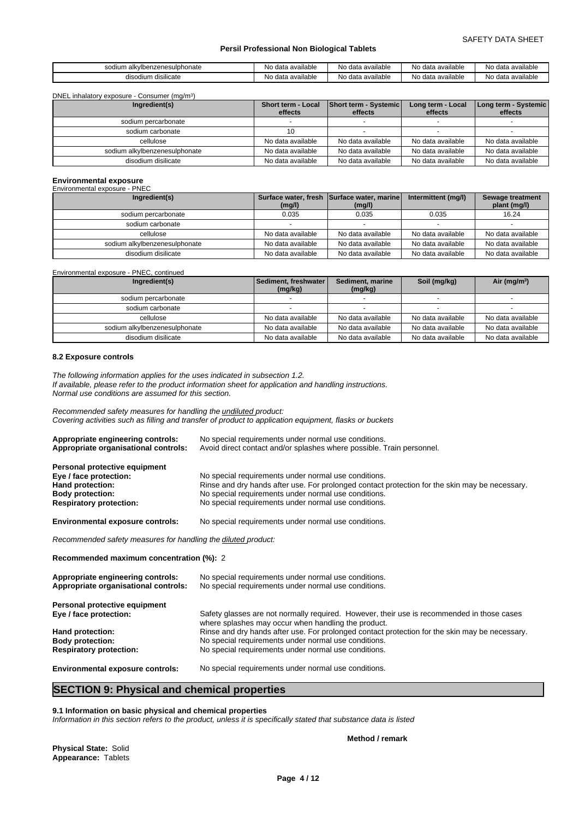| sulphonate<br>sodium alkvlb<br>nzene | available<br>No data | । available<br>data<br>NG. | No data available | No data available |
|--------------------------------------|----------------------|----------------------------|-------------------|-------------------|
| disodium disilicate                  | available<br>No data | i available<br>data<br>NO. | No data available | No data available |

| DNEL inhalatory exposure - Consumer (mg/m <sup>3</sup> ) |  |
|----------------------------------------------------------|--|
|                                                          |  |

| Ingredient(s)                 | Short term - Local<br>effects | <b>Short term - Systemic</b><br>effects | Long term - Local<br>effects | [Long term - Systemic]<br>effects |
|-------------------------------|-------------------------------|-----------------------------------------|------------------------------|-----------------------------------|
| sodium percarbonate           |                               |                                         |                              |                                   |
| sodium carbonate              |                               |                                         |                              |                                   |
| cellulose                     | No data available             | No data available                       | No data available            | No data available                 |
| sodium alkylbenzenesulphonate | No data available             | No data available                       | No data available            | No data available                 |
| disodium disilicate           | No data available             | No data available                       | No data available            | No data available                 |

## **Environmental exposure** Environmental exposure - PNEC

| Ingredient(s)                 | (mg/l)            | Surface water, fresh Surface water, marine<br>(mg/l) | Intermittent (mg/l) | Sewage treatment<br>plant (mg/l) |
|-------------------------------|-------------------|------------------------------------------------------|---------------------|----------------------------------|
| sodium percarbonate           | 0.035             | 0.035                                                | 0.035               | 16.24                            |
| sodium carbonate              |                   |                                                      |                     |                                  |
| cellulose                     | No data available | No data available                                    | No data available   | No data available                |
| sodium alkylbenzenesulphonate | No data available | No data available                                    | No data available   | No data available                |
| disodium disilicate           | No data available | No data available                                    | No data available   | No data available                |

#### Environmental exposure - PNEC, continued

| Ingredient(s)                 | l Sediment. freshwater l<br>(mg/kg) | Sediment, marine<br>(mg/kg) | Soil (mg/kg)      | Air ( $mg/m3$ )   |
|-------------------------------|-------------------------------------|-----------------------------|-------------------|-------------------|
| sodium percarbonate           |                                     |                             |                   |                   |
| sodium carbonate              |                                     |                             |                   |                   |
| cellulose                     | No data available                   | No data available           | No data available | No data available |
| sodium alkylbenzenesulphonate | No data available                   | No data available           | No data available | No data available |
| disodium disilicate           | No data available                   | No data available           | No data available | No data available |

#### **8.2 Exposure controls**

*The following information applies for the uses indicated in subsection 1.2. If available, please refer to the product information sheet for application and handling instructions. Normal use conditions are assumed for this section.*

*Recommended safety measures for handling the undiluted product: Covering activities such as filling and transfer of product to application equipment, flasks or buckets*

| Appropriate engineering controls:<br>Appropriate organisational controls:                                                                | No special requirements under normal use conditions.<br>Avoid direct contact and/or splashes where possible. Train personnel.                                                                                                                                          |
|------------------------------------------------------------------------------------------------------------------------------------------|------------------------------------------------------------------------------------------------------------------------------------------------------------------------------------------------------------------------------------------------------------------------|
| Personal protective equipment<br>Eye / face protection:<br>Hand protection:<br><b>Body protection:</b><br><b>Respiratory protection:</b> | No special requirements under normal use conditions.<br>Rinse and dry hands after use. For prolonged contact protection for the skin may be necessary.<br>No special requirements under normal use conditions.<br>No special requirements under normal use conditions. |
| <b>Environmental exposure controls:</b>                                                                                                  | No special requirements under normal use conditions.                                                                                                                                                                                                                   |
| Recommended safety measures for handling the diluted product:                                                                            |                                                                                                                                                                                                                                                                        |
| Recommended maximum concentration (%): 2                                                                                                 |                                                                                                                                                                                                                                                                        |
| Appropriate engineering controls:<br>Appropriate organisational controls:                                                                | No special requirements under normal use conditions.<br>No special requirements under normal use conditions.                                                                                                                                                           |
| Personal protective equipment                                                                                                            |                                                                                                                                                                                                                                                                        |
| Eye / face protection:                                                                                                                   | Safety glasses are not normally required. However, their use is recommended in those cases<br>where splashes may occur when handling the product.                                                                                                                      |
| Hand protection:                                                                                                                         | Rinse and dry hands after use. For prolonged contact protection for the skin may be necessary.                                                                                                                                                                         |
| <b>Body protection:</b>                                                                                                                  | No special requirements under normal use conditions.                                                                                                                                                                                                                   |
| <b>Respiratory protection:</b>                                                                                                           | No special requirements under normal use conditions.                                                                                                                                                                                                                   |
| <b>Environmental exposure controls:</b>                                                                                                  | No special requirements under normal use conditions.                                                                                                                                                                                                                   |

## **SECTION 9: Physical and chemical properties**

**9.1 Information on basic physical and chemical properties**

*Information in this section refers to the product, unless it is specifically stated that substance data is listed*

**Physical State:** Solid **Appearance:** Tablets

**Method / remark**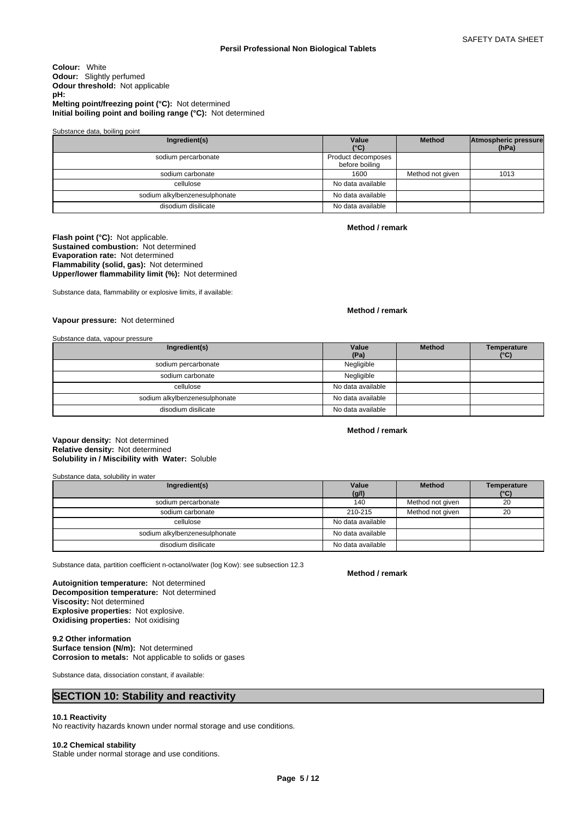#### **Colour:** White **Odour:** Slightly perfumed **Odour threshold:** Not applicable **pH: Melting point/freezing point (°C):** Not determined **Initial boiling point and boiling range (°C):** Not determined

Substance data, boiling point

| Ingredient(s)                 | Value<br>$(^{\circ}C)$               | <b>Method</b>    | Atmospheric pressure<br>(hPa) |
|-------------------------------|--------------------------------------|------------------|-------------------------------|
| sodium percarbonate           | Product decomposes<br>before boiling |                  |                               |
| sodium carbonate              | 1600                                 | Method not given | 1013                          |
| cellulose                     | No data available                    |                  |                               |
| sodium alkylbenzenesulphonate | No data available                    |                  |                               |
| disodium disilicate           | No data available                    |                  |                               |

#### **Method / remark**

**Flash point (°C):** Not applicable. **Sustained combustion:** Not determined **Evaporation rate:** Not determined **Flammability (solid, gas):** Not determined **Upper/lower flammability limit (%):** Not determined

Substance data, flammability or explosive limits, if available:

#### **Method / remark**

**Vapour pressure:** Not determined

Substance data, vapour pressure

| Ingredient(s)                 | Value<br>(Pa)     | <b>Method</b> | Temperature<br>$(^{\circ}C)$ |
|-------------------------------|-------------------|---------------|------------------------------|
| sodium percarbonate           | Negligible        |               |                              |
| sodium carbonate              | Negligible        |               |                              |
| cellulose                     | No data available |               |                              |
| sodium alkylbenzenesulphonate | No data available |               |                              |
| disodium disilicate           | No data available |               |                              |

#### **Method / remark**

#### **Solubility in / Miscibility with Water:** Soluble **Vapour density:** Not determined **Relative density:** Not determined

Substance data, solubility in water

| Ingredient(s)                 | Value<br>(g/l)    | <b>Method</b>    | <b>Temperature</b><br>(°C) |
|-------------------------------|-------------------|------------------|----------------------------|
| sodium percarbonate           | 140               | Method not given | 20                         |
| sodium carbonate              | 210-215           | Method not given | 20                         |
| cellulose                     | No data available |                  |                            |
| sodium alkylbenzenesulphonate | No data available |                  |                            |
| disodium disilicate           | No data available |                  |                            |

Substance data, partition coefficient n-octanol/water (log Kow): see subsection 12.3

**Decomposition temperature:** Not determined **Autoignition temperature:** Not determined **Viscosity:** Not determined **Explosive properties:** Not explosive. **Oxidising properties:** Not oxidising

**9.2 Other information Surface tension (N/m):** Not determined **Corrosion to metals:** Not applicable to solids or gases

Substance data, dissociation constant, if available:

## **SECTION 10: Stability and reactivity**

#### **10.1 Reactivity**

No reactivity hazards known under normal storage and use conditions.

## **10.2 Chemical stability**

Stable under normal storage and use conditions.

**Method / remark**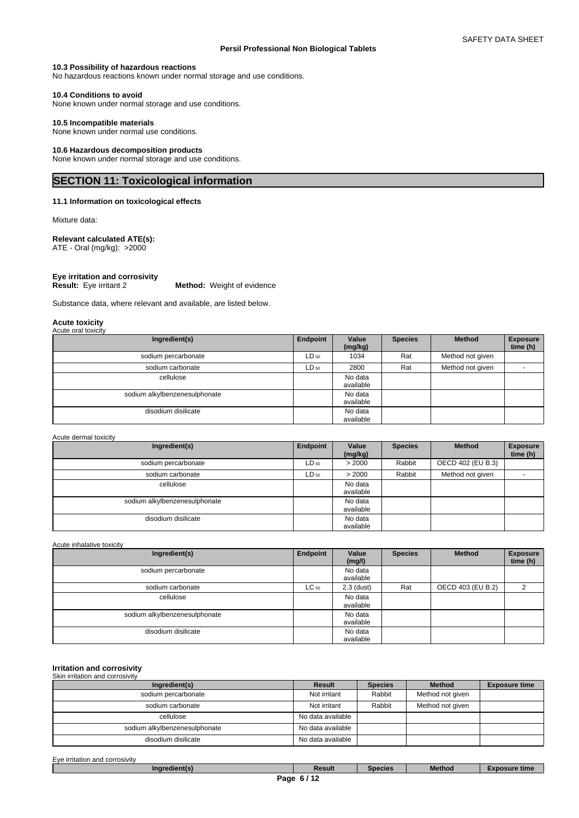#### **10.3 Possibility of hazardous reactions**

No hazardous reactions known under normal storage and use conditions.

#### **10.4 Conditions to avoid**

None known under normal storage and use conditions.

#### **10.5 Incompatible materials**

None known under normal use conditions.

### **10.6 Hazardous decomposition products**

None known under normal storage and use conditions.

## **SECTION 11: Toxicological information**

#### **11.1 Information on toxicological effects**

Mixture data:

## **Relevant calculated ATE(s):**

ATE - Oral (mg/kg): >2000

#### **Eye irritation and corrosivity**

**Result:** Eye irritant 2 **Method:** Weight of evidence

Substance data, where relevant and available, are listed below.

#### **Acute toxicity**

| Acute oral toxicity           |           |                      |                |                  |                             |
|-------------------------------|-----------|----------------------|----------------|------------------|-----------------------------|
| Ingredient(s)                 | Endpoint  | Value<br>(mg/kg)     | <b>Species</b> | <b>Method</b>    | <b>Exposure</b><br>time (h) |
| sodium percarbonate           | $LD_{50}$ | 1034                 | Rat            | Method not given |                             |
| sodium carbonate              | $LD_{50}$ | 2800                 | Rat            | Method not given |                             |
| cellulose                     |           | No data<br>available |                |                  |                             |
| sodium alkylbenzenesulphonate |           | No data<br>available |                |                  |                             |
| disodium disilicate           |           | No data<br>available |                |                  |                             |

#### Acute dermal toxicity

| Ingredient(s)                 | Endpoint  | Value<br>(mg/kg)     | <b>Species</b> | <b>Method</b>     | <b>Exposure</b><br>time (h) |
|-------------------------------|-----------|----------------------|----------------|-------------------|-----------------------------|
| sodium percarbonate           | $LD_{50}$ | > 2000               | Rabbit         | OECD 402 (EU B.3) |                             |
| sodium carbonate              | $LD_{50}$ | > 2000               | Rabbit         | Method not given  |                             |
| cellulose                     |           | No data<br>available |                |                   |                             |
| sodium alkylbenzenesulphonate |           | No data<br>available |                |                   |                             |
| disodium disilicate           |           | No data<br>available |                |                   |                             |

#### Acute inhalative toxicity

| Ingredient(s)                 | Endpoint  | Value<br>(mg/l)      | <b>Species</b> | <b>Method</b>     | <b>Exposure</b><br>time (h) |
|-------------------------------|-----------|----------------------|----------------|-------------------|-----------------------------|
| sodium percarbonate           |           | No data<br>available |                |                   |                             |
| sodium carbonate              | $LC_{50}$ | $2.3$ (dust)         | Rat            | OECD 403 (EU B.2) |                             |
| cellulose                     |           | No data<br>available |                |                   |                             |
| sodium alkylbenzenesulphonate |           | No data<br>available |                |                   |                             |
| disodium disilicate           |           | No data<br>available |                |                   |                             |

#### **Irritation and corrosivity** Skin irritation and corrosivity

| Ingredient(s)                 | Result            | <b>Species</b> | <b>Method</b>    | <b>Exposure time</b> |
|-------------------------------|-------------------|----------------|------------------|----------------------|
| sodium percarbonate           | Not irritant      | Rabbit         | Method not given |                      |
| sodium carbonate              | Not irritant      | Rabbit         | Method not given |                      |
| cellulose                     | No data available |                |                  |                      |
| sodium alkylbenzenesulphonate | No data available |                |                  |                      |
| disodium disilicate           | No data available |                |                  |                      |

Eye irritation and corrosivity

| redient(s   | <b>Result</b> | Species<br>- 11 | --<br>Methoc | re time<br>----- |
|-------------|---------------|-----------------|--------------|------------------|
| <b>DANA</b> |               |                 |              |                  |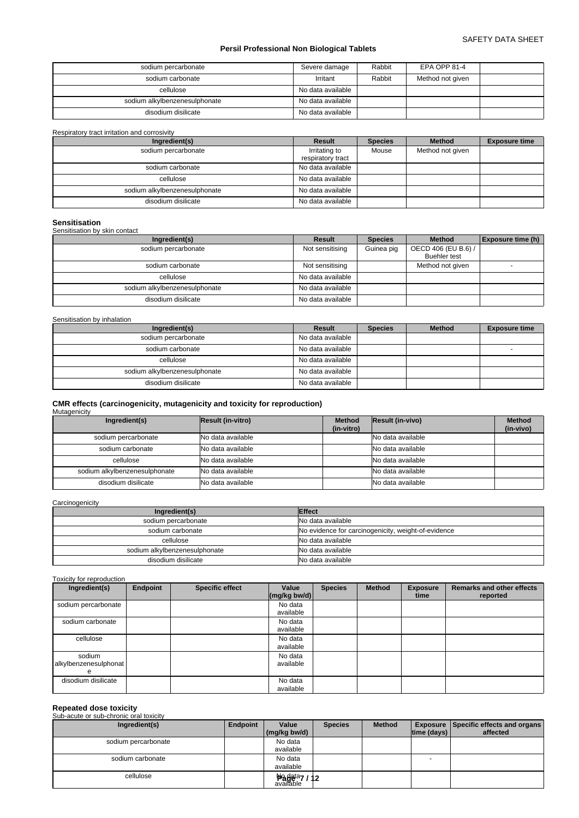| sodium percarbonate           | Severe damage     | Rabbit | EPA OPP 81-4     |  |
|-------------------------------|-------------------|--------|------------------|--|
| sodium carbonate              | Irritant          | Rabbit | Method not given |  |
| cellulose                     | No data available |        |                  |  |
| sodium alkylbenzenesulphonate | No data available |        |                  |  |
| disodium disilicate           | No data available |        |                  |  |

Respiratory tract irritation and corrosivity

| Ingredient(s)                 | Result                             | <b>Species</b> | <b>Method</b>    | <b>Exposure time</b> |
|-------------------------------|------------------------------------|----------------|------------------|----------------------|
| sodium percarbonate           | Irritating to<br>respiratory tract | Mouse          | Method not given |                      |
| sodium carbonate              | No data available                  |                |                  |                      |
| cellulose                     | No data available                  |                |                  |                      |
| sodium alkylbenzenesulphonate | No data available                  |                |                  |                      |
| disodium disilicate           | No data available                  |                |                  |                      |

## **Sensitisation**

Sensitisation by skin contact

| Ingredient(s)                 | Result            | <b>Species</b> | <b>Method</b>       | Exposure time (h) |
|-------------------------------|-------------------|----------------|---------------------|-------------------|
| sodium percarbonate           | Not sensitising   | Guinea pig     | OECD 406 (EU B.6) / |                   |
|                               |                   |                | <b>Buehler test</b> |                   |
| sodium carbonate              | Not sensitising   |                | Method not given    |                   |
| cellulose                     | No data available |                |                     |                   |
| sodium alkylbenzenesulphonate | No data available |                |                     |                   |
| disodium disilicate           | No data available |                |                     |                   |

Sensitisation by inhalation

| Ingredient(s)                 | Result            | <b>Species</b> | <b>Method</b> | <b>Exposure time</b> |
|-------------------------------|-------------------|----------------|---------------|----------------------|
| sodium percarbonate           | No data available |                |               |                      |
| sodium carbonate              | No data available |                |               |                      |
| cellulose                     | No data available |                |               |                      |
| sodium alkylbenzenesulphonate | No data available |                |               |                      |
| disodium disilicate           | No data available |                |               |                      |

## **CMR effects (carcinogenicity, mutagenicity and toxicity for reproduction)** Mutagenicity

| Ingredient(s)                 | Result (in-vitro)        | <b>Method</b><br>(in-vitro) | <b>Result (in-vivo)</b> | <b>Method</b><br>(in-vivo) |
|-------------------------------|--------------------------|-----------------------------|-------------------------|----------------------------|
| sodium percarbonate           | <b>No data available</b> |                             | No data available       |                            |
| sodium carbonate              | No data available        |                             | No data available       |                            |
| cellulose                     | INo data available       |                             | No data available       |                            |
| sodium alkylbenzenesulphonate | INo data available       |                             | No data available       |                            |
| disodium disilicate           | INo data available       |                             | No data available       |                            |

**Carcinogenicity** 

| Ingredient(s)                 | <b>IEffect</b>                                      |
|-------------------------------|-----------------------------------------------------|
| sodium percarbonate           | No data available                                   |
| sodium carbonate              | No evidence for carcinogenicity, weight-of-evidence |
| cellulose                     | No data available                                   |
| sodium alkylbenzenesulphonate | No data available                                   |
| disodium disilicate           | No data available                                   |

Toxicity for reproduction

| Ingredient(s)                        | <b>Endpoint</b> | <b>Specific effect</b> | Value<br>$\left \frac{\text{mg}}{\text{kg}}\text{bw/d}\right $ | <b>Species</b> | <b>Method</b> | <b>Exposure</b><br>time | <b>Remarks and other effects</b><br>reported |
|--------------------------------------|-----------------|------------------------|----------------------------------------------------------------|----------------|---------------|-------------------------|----------------------------------------------|
| sodium percarbonate                  |                 |                        | No data<br>available                                           |                |               |                         |                                              |
| sodium carbonate                     |                 |                        | No data<br>available                                           |                |               |                         |                                              |
| cellulose                            |                 |                        | No data<br>available                                           |                |               |                         |                                              |
| sodium<br>alkylbenzenesulphonat<br>е |                 |                        | No data<br>available                                           |                |               |                         |                                              |
| disodium disilicate                  |                 |                        | No data<br>available                                           |                |               |                         |                                              |

## **Repeated dose toxicity** Sub-acute or sub-chronic oral toxicity

| Ingredient(s)       | <b>Endpoint</b> | Value                                                   | <b>Species</b> | <b>Method</b> |                    | Exposure Specific effects and organs |
|---------------------|-----------------|---------------------------------------------------------|----------------|---------------|--------------------|--------------------------------------|
|                     |                 | (mg/kg bw/d)                                            |                |               | $ time$ (days) $ $ | affected                             |
| sodium percarbonate |                 | No data                                                 |                |               |                    |                                      |
|                     |                 | available                                               |                |               |                    |                                      |
| sodium carbonate    |                 | No data                                                 |                |               | -                  |                                      |
|                     |                 | available                                               |                |               |                    |                                      |
| cellulose           |                 | $\frac{\text{Nagda}}{\text{available}}$ / $\frac{1}{2}$ |                |               |                    |                                      |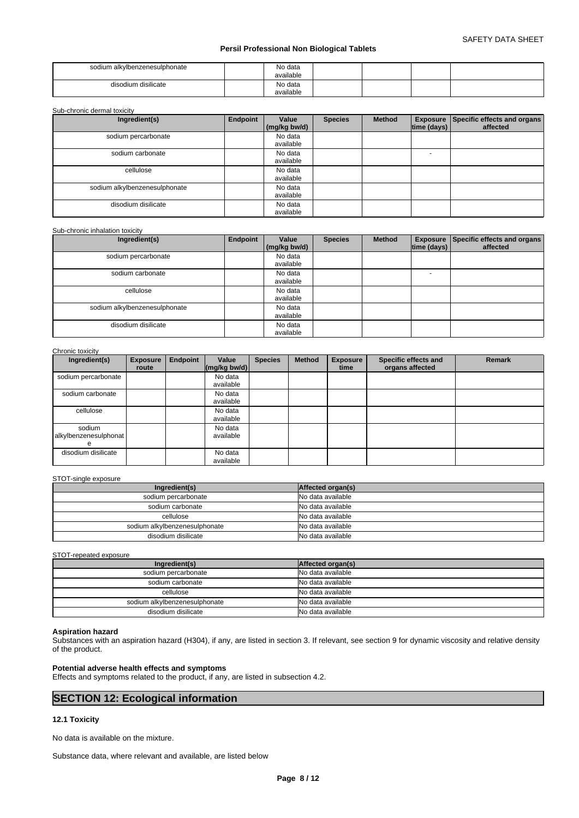| sodium alkylbenzenesulphonate | No data<br>available |  |  |
|-------------------------------|----------------------|--|--|
| disodium disilicate           | No data              |  |  |
|                               | available            |  |  |

#### Sub-chronic dermal toxicity

| Ingredient(s)                 | Endpoint | Value<br>(mg/kg bw/d) | <b>Species</b> | <b>Method</b> | time (days) $\vert$      | <b>Exposure Specific effects and organs</b><br>affected |
|-------------------------------|----------|-----------------------|----------------|---------------|--------------------------|---------------------------------------------------------|
| sodium percarbonate           |          | No data<br>available  |                |               |                          |                                                         |
| sodium carbonate              |          | No data<br>available  |                |               | $\overline{\phantom{0}}$ |                                                         |
| cellulose                     |          | No data<br>available  |                |               |                          |                                                         |
| sodium alkylbenzenesulphonate |          | No data<br>available  |                |               |                          |                                                         |
| disodium disilicate           |          | No data<br>available  |                |               |                          |                                                         |

#### Sub-chronic inhalation toxicity

| Ingredient(s)                 | Endpoint | Value<br>(mg/kg bw/d) | <b>Species</b> | <b>Method</b> | time (days)              | Exposure Specific effects and organs<br>affected |
|-------------------------------|----------|-----------------------|----------------|---------------|--------------------------|--------------------------------------------------|
| sodium percarbonate           |          | No data<br>available  |                |               |                          |                                                  |
| sodium carbonate              |          | No data<br>available  |                |               | $\overline{\phantom{0}}$ |                                                  |
| cellulose                     |          | No data<br>available  |                |               |                          |                                                  |
| sodium alkylbenzenesulphonate |          | No data<br>available  |                |               |                          |                                                  |
| disodium disilicate           |          | No data<br>available  |                |               |                          |                                                  |

#### Chronic toxicity

| Ingredient(s)                        | <b>Exposure</b><br>route | Endpoint | Value<br>$(mg/kg)$ bw/d) | <b>Species</b> | <b>Method</b> | <b>Exposure</b><br>time | Specific effects and<br>organs affected | <b>Remark</b> |
|--------------------------------------|--------------------------|----------|--------------------------|----------------|---------------|-------------------------|-----------------------------------------|---------------|
| sodium percarbonate                  |                          |          | No data<br>available     |                |               |                         |                                         |               |
| sodium carbonate                     |                          |          | No data<br>available     |                |               |                         |                                         |               |
| cellulose                            |                          |          | No data<br>available     |                |               |                         |                                         |               |
| sodium<br>alkylbenzenesulphonat<br>е |                          |          | No data<br>available     |                |               |                         |                                         |               |
| disodium disilicate                  |                          |          | No data<br>available     |                |               |                         |                                         |               |

#### STOT-single exposure

| Ingredient(s)                 | Affected organ(s) |
|-------------------------------|-------------------|
| sodium percarbonate           | No data available |
| sodium carbonate              | No data available |
| cellulose                     | No data available |
| sodium alkylbenzenesulphonate | No data available |
| disodium disilicate           | No data available |

STOT-repeated exposure

| Ingredient(s)                 | Affected organ(s) |
|-------------------------------|-------------------|
| sodium percarbonate           | No data available |
| sodium carbonate              | No data available |
| cellulose                     | No data available |
| sodium alkylbenzenesulphonate | No data available |
| disodium disilicate           | No data available |

#### **Aspiration hazard**

Substances with an aspiration hazard (H304), if any, are listed in section 3. If relevant, see section 9 for dynamic viscosity and relative density of the product.

#### **Potential adverse health effects and symptoms**

Effects and symptoms related to the product, if any, are listed in subsection 4.2.

## **SECTION 12: Ecological information**

### **12.1 Toxicity**

No data is available on the mixture.

Substance data, where relevant and available, are listed below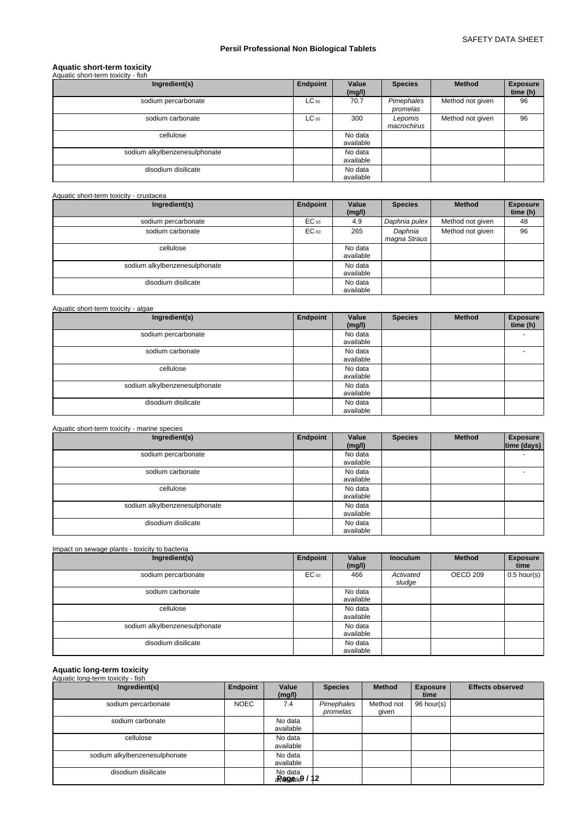## **Aquatic short-term toxicity** Aquatic short-term toxicity - fish

| $\mu$ igadito shiort to $\mu$ to $\mu$ is a result. |           |                      |                        |                  |                             |
|-----------------------------------------------------|-----------|----------------------|------------------------|------------------|-----------------------------|
| Ingredient(s)                                       | Endpoint  | Value<br>(mg/l)      | <b>Species</b>         | <b>Method</b>    | <b>Exposure</b><br>time (h) |
| sodium percarbonate                                 | $LC_{50}$ | 70.7                 | Pimephales<br>promelas | Method not given | 96                          |
| sodium carbonate                                    | $LC_{50}$ | 300                  | Lepomis<br>macrochirus | Method not given | 96                          |
| cellulose                                           |           | No data<br>available |                        |                  |                             |
| sodium alkylbenzenesulphonate                       |           | No data<br>available |                        |                  |                             |
| disodium disilicate                                 |           | No data<br>available |                        |                  |                             |

| Aquatic short-term toxicity - crustacea |          |                      |                         |                  |                             |
|-----------------------------------------|----------|----------------------|-------------------------|------------------|-----------------------------|
| Ingredient(s)                           | Endpoint | Value<br>(mg/l)      | <b>Species</b>          | <b>Method</b>    | <b>Exposure</b><br>time (h) |
| sodium percarbonate                     | EC 50    | 4.9                  | Daphnia pulex           | Method not given | 48                          |
| sodium carbonate                        | EC 50    | 265                  | Daphnia<br>magna Straus | Method not given | 96                          |
| cellulose                               |          | No data<br>available |                         |                  |                             |
| sodium alkylbenzenesulphonate           |          | No data<br>available |                         |                  |                             |
| disodium disilicate                     |          | No data<br>available |                         |                  |                             |

| Aquatic short-term toxicity - algae |          |                      |                |               |                             |
|-------------------------------------|----------|----------------------|----------------|---------------|-----------------------------|
| Ingredient(s)                       | Endpoint | Value<br>(mg/l)      | <b>Species</b> | <b>Method</b> | <b>Exposure</b><br>time (h) |
| sodium percarbonate                 |          | No data<br>available |                |               |                             |
| sodium carbonate                    |          | No data<br>available |                |               |                             |
| cellulose                           |          | No data<br>available |                |               |                             |
| sodium alkylbenzenesulphonate       |          | No data<br>available |                |               |                             |
| disodium disilicate                 |          | No data<br>available |                |               |                             |

| Aquatic short-term toxicity - marine species |                 |                      |                |               |                                |
|----------------------------------------------|-----------------|----------------------|----------------|---------------|--------------------------------|
| Ingredient(s)                                | <b>Endpoint</b> | Value<br>(mg/l)      | <b>Species</b> | <b>Method</b> | <b>Exposure</b><br>time (days) |
| sodium percarbonate                          |                 | No data<br>available |                |               | $\overline{\phantom{0}}$       |
| sodium carbonate                             |                 | No data<br>available |                |               | -                              |
| cellulose                                    |                 | No data<br>available |                |               |                                |
| sodium alkylbenzenesulphonate                |                 | No data<br>available |                |               |                                |
| disodium disilicate                          |                 | No data<br>available |                |               |                                |

| Impact on sewage plants - toxicity to bacteria |          |                      |                     |                     |                         |
|------------------------------------------------|----------|----------------------|---------------------|---------------------|-------------------------|
| Ingredient(s)                                  | Endpoint | Value<br>(mg/l)      | <b>Inoculum</b>     | <b>Method</b>       | <b>Exposure</b><br>time |
| sodium percarbonate                            | EC 50    | 466                  | Activated<br>sludge | OECD <sub>209</sub> | $0.5$ hour(s)           |
| sodium carbonate                               |          | No data<br>available |                     |                     |                         |
| cellulose                                      |          | No data<br>available |                     |                     |                         |
| sodium alkylbenzenesulphonate                  |          | No data<br>available |                     |                     |                         |
| disodium disilicate                            |          | No data<br>available |                     |                     |                         |

## **Aquatic long-term toxicity** Aquatic long-term toxicity - fish

| Ingredient(s)                 | Endpoint    | Value<br>(mg/l)          | <b>Species</b>         | <b>Method</b>       | <b>Exposure</b><br>time | <b>Effects observed</b> |
|-------------------------------|-------------|--------------------------|------------------------|---------------------|-------------------------|-------------------------|
| sodium percarbonate           | <b>NOEC</b> | 7.4                      | Pimephales<br>promelas | Method not<br>qiven | 96 hour(s)              |                         |
| sodium carbonate              |             | No data<br>available     |                        |                     |                         |                         |
| cellulose                     |             | No data<br>available     |                        |                     |                         |                         |
| sodium alkylbenzenesulphonate |             | No data<br>available     |                        |                     |                         |                         |
| disodium disilicate           |             | No data<br>aRanga⊜la9/12 |                        |                     |                         |                         |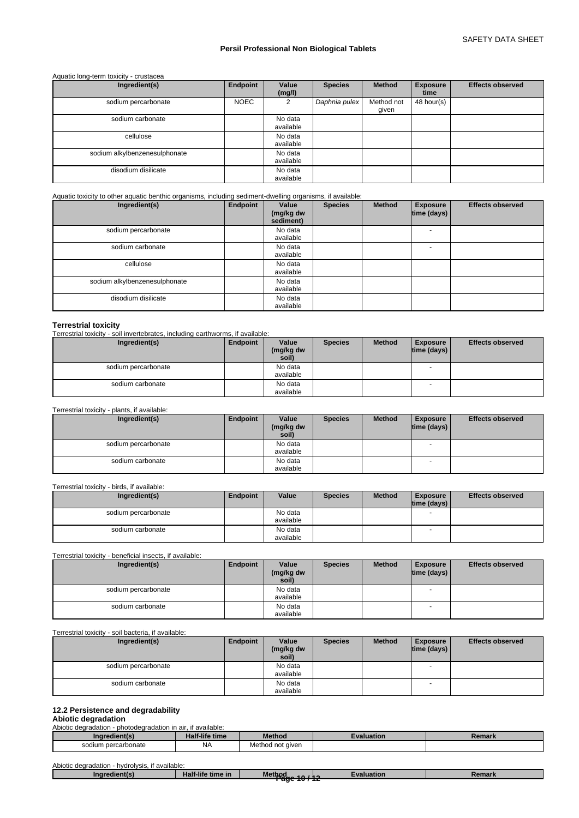#### Aquatic long-term toxicity - crustacea

| Ingredient(s)                 | Endpoint    | Value<br>(mg/l)      | <b>Species</b> | <b>Method</b>       | <b>Exposure</b><br>time | <b>Effects observed</b> |
|-------------------------------|-------------|----------------------|----------------|---------------------|-------------------------|-------------------------|
| sodium percarbonate           | <b>NOEC</b> | 2                    | Daphnia pulex  | Method not<br>qiven | 48 hour(s)              |                         |
| sodium carbonate              |             | No data<br>available |                |                     |                         |                         |
| cellulose                     |             | No data<br>available |                |                     |                         |                         |
| sodium alkylbenzenesulphonate |             | No data<br>available |                |                     |                         |                         |
| disodium disilicate           |             | No data<br>available |                |                     |                         |                         |

#### Aquatic toxicity to other aquatic benthic organisms, including sediment-dwelling organisms, if available:

| Ingredient(s)                 | Endpoint | Value<br>(mg/kg dw<br>sediment) | <b>Species</b> | <b>Method</b> | <b>Exposure</b><br>time (days) | <b>Effects observed</b> |
|-------------------------------|----------|---------------------------------|----------------|---------------|--------------------------------|-------------------------|
| sodium percarbonate           |          | No data<br>available            |                |               | $\overline{\phantom{a}}$       |                         |
| sodium carbonate              |          | No data<br>available            |                |               |                                |                         |
| cellulose                     |          | No data<br>available            |                |               |                                |                         |
| sodium alkylbenzenesulphonate |          | No data<br>available            |                |               |                                |                         |
| disodium disilicate           |          | No data<br>available            |                |               |                                |                         |

**Terrestrial toxicity** Terrestrial toxicity - soil invertebrates, including earthworms, if available:

| Ingredient(s)       | Endpoint | Value     | <b>Species</b> | <b>Method</b> | <b>Exposure</b>          | <b>Effects observed</b> |
|---------------------|----------|-----------|----------------|---------------|--------------------------|-------------------------|
|                     |          | (mg/kg dw |                |               | time (days)              |                         |
|                     |          | soil)     |                |               |                          |                         |
| sodium percarbonate |          | No data   |                |               | $\overline{\phantom{a}}$ |                         |
|                     |          | available |                |               |                          |                         |
| sodium carbonate    |          | No data   |                |               | <b>1</b>                 |                         |
|                     |          | available |                |               |                          |                         |

#### Terrestrial toxicity - plants, if available:

| Ingredient(s)       | Endpoint | Value<br>(mg/kg dw<br>soil) | <b>Species</b> | <b>Method</b> | <b>Exposure</b><br>$ time$ (days) $ $ | <b>Effects observed</b> |
|---------------------|----------|-----------------------------|----------------|---------------|---------------------------------------|-------------------------|
| sodium percarbonate |          | No data<br>available        |                |               |                                       |                         |
| sodium carbonate    |          | No data<br>available        |                |               | $\overline{\phantom{a}}$              |                         |

#### Terrestrial toxicity - birds, if available:

| Ingredient(s)       | Endpoint | Value     | <b>Species</b> | <b>Method</b> | <b>Exposure</b>    | <b>Effects observed</b> |
|---------------------|----------|-----------|----------------|---------------|--------------------|-------------------------|
|                     |          |           |                |               | $ time$ (days) $ $ |                         |
| sodium percarbonate |          | No data   |                |               |                    |                         |
|                     |          | available |                |               |                    |                         |
| sodium carbonate    |          | No data   |                |               |                    |                         |
|                     |          | available |                |               |                    |                         |

Terrestrial toxicity - beneficial insects, if available:

| Ingredient(s)       | Endpoint | Value<br>(mg/kg dw<br>soil) | <b>Species</b> | <b>Method</b> | <b>Exposure</b><br>$ time$ (days) $ $ | <b>Effects observed</b> |
|---------------------|----------|-----------------------------|----------------|---------------|---------------------------------------|-------------------------|
| sodium percarbonate |          | No data<br>available        |                |               | $\overline{\phantom{a}}$              |                         |
| sodium carbonate    |          | No data<br>available        |                |               |                                       |                         |

#### Terrestrial toxicity - soil bacteria, if available:

| Ingredient(s)       | Endpoint | Value<br>(mg/kg dw | <b>Species</b> | <b>Method</b> | <b>Exposure</b><br>$ time$ (days) $ $ | <b>Effects observed</b> |
|---------------------|----------|--------------------|----------------|---------------|---------------------------------------|-------------------------|
|                     |          | soil)              |                |               |                                       |                         |
| sodium percarbonate |          | No data            |                |               | $\overline{\phantom{a}}$              |                         |
|                     |          | available          |                |               |                                       |                         |
| sodium carbonate    |          | No data            |                |               |                                       |                         |
|                     |          | available          |                |               |                                       |                         |

#### **12.2 Persistence and degradability**

#### **Abiotic degradation**

Abiotic degradation - photodegradation in air, if available:

| Ingredient(s)       | <br>time<br>Half-life | <b>Method</b>         | valuation | Remark |
|---------------------|-----------------------|-----------------------|-----------|--------|
| sodium percarbonate | <b>NA</b>             | Method<br>l not aiven |           |        |

| Abiotic<br>degradation<br>hvdrolvsis.<br>if available: |                   |               |            |        |  |  |
|--------------------------------------------------------|-------------------|---------------|------------|--------|--|--|
|                                                        | Half-life time in | Method<br>. . | Evaluation | Remark |  |  |
| age-                                                   |                   |               |            |        |  |  |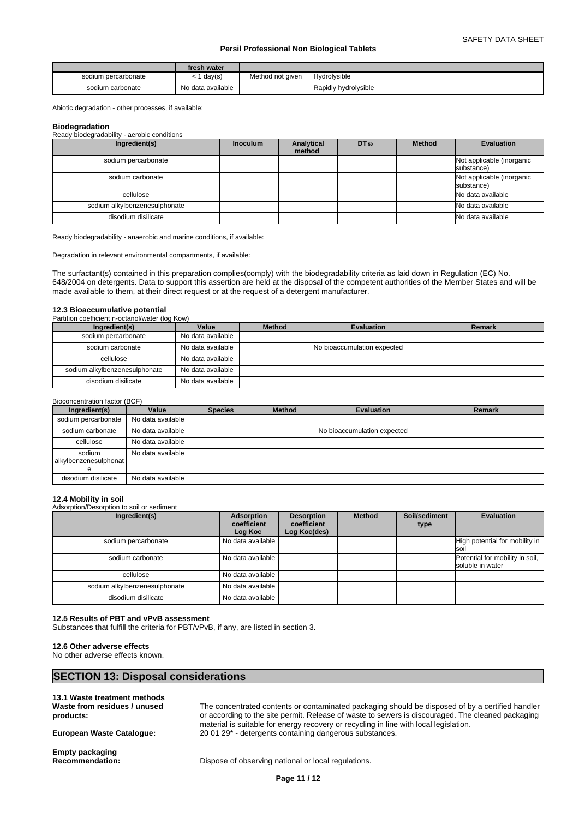|                     | fresh water       |                  |                      |  |
|---------------------|-------------------|------------------|----------------------|--|
| sodium percarbonate | day(s)            | Method not given | <b>Hydrolysible</b>  |  |
| sodium carbonate    | No data available |                  | Rapidly hydrolysible |  |

Abiotic degradation - other processes, if available:

#### **Biodegradation**

Ready biodegradability - aerobic conditions

| Ingredient(s)                 | <b>Inoculum</b> | Analytical<br>method | DT 50 | <b>Method</b> | <b>Evaluation</b>                       |
|-------------------------------|-----------------|----------------------|-------|---------------|-----------------------------------------|
| sodium percarbonate           |                 |                      |       |               | Not applicable (inorganic<br>substance) |
| sodium carbonate              |                 |                      |       |               | Not applicable (inorganic<br>substance) |
| cellulose                     |                 |                      |       |               | No data available                       |
| sodium alkylbenzenesulphonate |                 |                      |       |               | No data available                       |
| disodium disilicate           |                 |                      |       |               | No data available                       |

Ready biodegradability - anaerobic and marine conditions, if available:

Degradation in relevant environmental compartments, if available:

The surfactant(s) contained in this preparation complies(comply) with the biodegradability criteria as laid down in Regulation (EC) No. 648/2004 on detergents. Data to support this assertion are held at the disposal of the competent authorities of the Member States and will be made available to them, at their direct request or at the request of a detergent manufacturer.

## **12.3 Bioaccumulative potential**

| Partition coefficient n-octanol/water (log Kow) |                   |               |                             |        |  |  |  |
|-------------------------------------------------|-------------------|---------------|-----------------------------|--------|--|--|--|
| Ingredient(s)                                   | Value             | <b>Method</b> | <b>Evaluation</b>           | Remark |  |  |  |
| sodium percarbonate                             | No data available |               |                             |        |  |  |  |
| sodium carbonate                                | No data available |               | No bioaccumulation expected |        |  |  |  |
| cellulose                                       | No data available |               |                             |        |  |  |  |
| sodium alkylbenzenesulphonate                   | No data available |               |                             |        |  |  |  |
| disodium disilicate                             | No data available |               |                             |        |  |  |  |

#### Bioconcentration factor (BCF)

| Ingredient(s)                   | Value             | <b>Species</b> | <b>Method</b> | Evaluation                  | <b>Remark</b> |
|---------------------------------|-------------------|----------------|---------------|-----------------------------|---------------|
| sodium percarbonate             | No data available |                |               |                             |               |
| sodium carbonate                | No data available |                |               | No bioaccumulation expected |               |
| cellulose                       | No data available |                |               |                             |               |
| sodium<br>alkylbenzenesulphonat | No data available |                |               |                             |               |
| disodium disilicate             | No data available |                |               |                             |               |

#### **12.4 Mobility in soil**

Adsorption/Desorption to soil or sediment

| Ingredient(s)                 | Adsorption<br>coefficient<br>Log Koc | <b>Desorption</b><br>coefficient<br>Log Koc(des) | <b>Method</b> | Soil/sediment<br>type | <b>Evaluation</b>                                   |
|-------------------------------|--------------------------------------|--------------------------------------------------|---------------|-----------------------|-----------------------------------------------------|
| sodium percarbonate           | No data available                    |                                                  |               |                       | High potential for mobility in<br><b>Isoi</b>       |
| sodium carbonate              | No data available                    |                                                  |               |                       | Potential for mobility in soil,<br>soluble in water |
| cellulose                     | No data available                    |                                                  |               |                       |                                                     |
| sodium alkylbenzenesulphonate | No data available                    |                                                  |               |                       |                                                     |
| disodium disilicate           | No data available                    |                                                  |               |                       |                                                     |

#### **12.5 Results of PBT and vPvB assessment**

Substances that fulfill the criteria for PBT/vPvB, if any, are listed in section 3.

#### **12.6 Other adverse effects**

No other adverse effects known.

## **SECTION 13: Disposal considerations**

**13.1 Waste treatment methods Waste from residues / unused products:**

**Empty packaging**

The concentrated contents or contaminated packaging should be disposed of by a certified handler or according to the site permit. Release of waste to sewers is discouraged. The cleaned packaging material is suitable for energy recovery or recycling in line with local legislation. **European Waste Catalogue:** 20 01 29\* - detergents containing dangerous substances.

**Recommendation:** Dispose of observing national or local regulations.